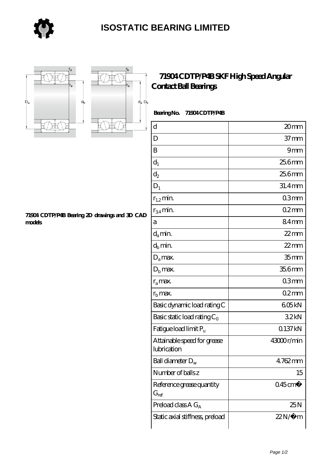





## **[71904 CDTP/P4B SKF High Speed Angular](https://store-isabelmarant.com/skf-bearings/71904-cdtp-p4b.html) [Contact Ball Bearings](https://store-isabelmarant.com/skf-bearings/71904-cdtp-p4b.html)**

 **Bearing No. 71904 CDTP/P4B**

| $\rm d$                                    | 20mm                   |
|--------------------------------------------|------------------------|
| D                                          | 37 <sub>mm</sub>       |
| B                                          | 9mm                    |
| $d_1$                                      | 25.6mm                 |
| $\mathrm{d}_2$                             | 25.6mm                 |
| $D_1$                                      | $31.4$ mm              |
| $r_{1,2}$ min.                             | 03mm                   |
| $r_{34}$ min.                              | 02mm                   |
| a                                          | 84mm                   |
| $d_a$ min.                                 | $22$ mm                |
| $d_b$ min.                                 | $22$ mm                |
| $D_a$ max.                                 | 35 <sub>mm</sub>       |
| $D_{b}$ max.                               | 35.6mm                 |
| $r_a$ max.                                 | 03 <sub>mm</sub>       |
| $rb$ max.                                  | 02mm                   |
| Basic dynamic load rating C                | 605kN                  |
| Basic static load rating $C_0$             | 32kN                   |
| Fatigue load limit $P_u$                   | 0.137 kN               |
| Attainable speed for grease<br>lubrication | 43000r/min             |
| Ball diameter $D_w$                        | 4762mm                 |
| Number of balls z                          | 15                     |
| Reference grease quantity<br>$G_{ref}$     | $0.45$ cm <sup>3</sup> |
| Preload class $A G_A$                      | 25N                    |
| Static axial stiffness, preload            | $22N/\mu$ m            |

**[71904 CDTP/P4B Bearing 2D drawings and 3D CAD](https://store-isabelmarant.com/pic-931711.html) [models](https://store-isabelmarant.com/pic-931711.html)**